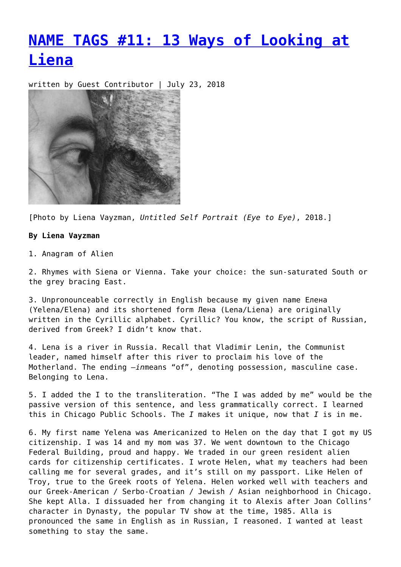## **[NAME TAGS #11: 13 Ways of Looking at](https://entropymag.org/name-tags-11-13-ways-of-looking-at-liena/) [Liena](https://entropymag.org/name-tags-11-13-ways-of-looking-at-liena/)**

written by Guest Contributor | July 23, 2018



[Photo by Liena Vayzman, *Untitled Self Portrait (Eye to Eye)*, 2018.]

## **By Liena Vayzman**

1. Anagram of Alien

2. Rhymes with Siena or Vienna. Take your choice: the sun-saturated South or the grey bracing East.

3. Unpronounceable correctly in English because my given name Елена (Yelena/Elena) and its shortened form Лена (Lena/Liena) are originally written in the Cyrillic alphabet. Cyrillic? You know, the script of Russian, derived from Greek? I didn't know that.

4. Lena is a river in Russia. Recall that Vladimir Lenin, the Communist leader, named himself after this river to proclaim his love of the Motherland. The ending *–in*means "of", denoting possession, masculine case. Belonging to Lena.

5. I added the I to the transliteration. "The I was added by me" would be the passive version of this sentence, and less grammatically correct. I learned this in Chicago Public Schools. The *I* makes it unique, now that *I* is in me.

6. My first name Yelena was Americanized to Helen on the day that I got my US citizenship. I was 14 and my mom was 37. We went downtown to the Chicago Federal Building, proud and happy. We traded in our green resident alien cards for citizenship certificates. I wrote Helen, what my teachers had been calling me for several grades, and it's still on my passport. Like Helen of Troy, true to the Greek roots of Yelena. Helen worked well with teachers and our Greek-American / Serbo-Croatian / Jewish / Asian neighborhood in Chicago. She kept Alla. I dissuaded her from changing it to Alexis after Joan Collins' character in Dynasty, the popular TV show at the time, 1985. Alla is pronounced the same in English as in Russian, I reasoned. I wanted at least something to stay the same.